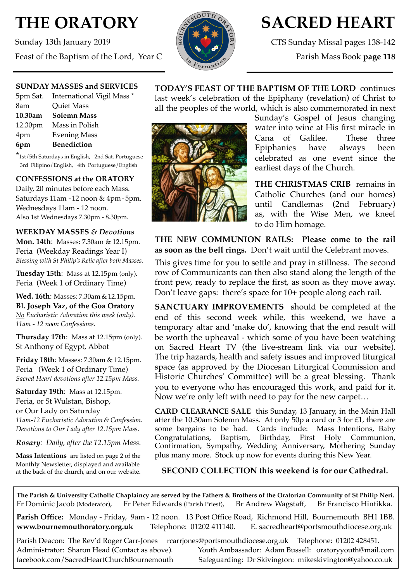# **THE ORATORY**

Sunday 13th January 2019 Feast of the Baptism of the Lord, Year C



# **SACRED HEART**

CTS Sunday Missal pages 138-142

Parish Mass Book **page 118**

## **SUNDAY MASSES and SERVICES**

|         | 5pm Sat. International Vigil Mass * |
|---------|-------------------------------------|
| 8am     | Quiet Mass                          |
| 10.30am | <b>Solemn Mass</b>                  |
|         | 12.30pm Mass in Polish              |
| 4pm     | <b>Evening Mass</b>                 |
| 6pm     | <b>Benediction</b>                  |
|         |                                     |

\*1st/5th Saturdays in English, 2nd Sat. Portuguese 3rd Filipino/English, 4th Portuguese/English

# **CONFESSIONS at the ORATORY**

Daily, 20 minutes before each Mass. Saturdays 11am - 12 noon & 4pm- 5pm. Wednesdays 11am - 12 noon. Also 1st Wednesdays 7.30pm - 8.30pm.

#### **WEEKDAY MASSES** *& Devotions*

**Mon. 14th**: Masses: 7.30am & 12.15pm. Feria (Weekday Readings Year I) *Blessing with St Philip's Relic after both Masses.*

**Tuesday 15th**: Mass at 12.15pm (only). Feria (Week 1 of Ordinary Time)

**Wed. 16th**: Masses: 7.30am & 12.15pm. **Bl. Joseph Vaz, of the Goa Oratory** *No Eucharistic Adoration this week (only). 11am - 12 noon Confessions.*

**Thursday 17th**: Mass at 12.15pm (only). St Anthony of Egypt, Abbot

**Friday 18th**: Masses: 7.30am & 12.15pm. Feria (Week 1 of Ordinary Time) *Sacred Heart devotions after 12.15pm Mass.*

**Saturday 19th**: Mass at 12.15pm. Feria, or St Wulstan, Bishop,

or Our Lady on Saturday *11am-12 Eucharistic Adoration & Confession. Devotions to Our Lady after 12.15pm Mass.*

*Rosary: Daily, after the 12.15pm Mass*.

**Mass Intentions** are listed on page 2 of the Monthly Newsletter, displayed and available at the back of the church, and on our website.





Sunday's Gospel of Jesus changing water into wine at His first miracle in Cana of Galilee. These three Epiphanies have always been celebrated as one event since the earliest days of the Church.

**THE CHRISTMAS CRIB** remains in Catholic Churches (and our homes) until Candlemas (2nd February) as, with the Wise Men, we kneel to do Him homage.

**THE NEW COMMUNION RAILS: Please come to the rail as soon as the bell rings.** Don't wait until the Celebrant moves.

This gives time for you to settle and pray in stillness. The second row of Communicants can then also stand along the length of the front pew, ready to replace the first, as soon as they move away. Don't leave gaps: there's space for 10+ people along each rail.

**SANCTUARY IMPROVEMENTS** should be completed at the end of this second week while, this weekend, we have a temporary altar and 'make do', knowing that the end result will be worth the upheaval - which some of you have been watching on Sacred Heart TV (the live-stream link via our website). The trip hazards, health and safety issues and improved liturgical space (as approved by the Diocesan Liturgical Commission and Historic Churches' Committee) will be a great blessing. Thank you to everyone who has encouraged this work, and paid for it. Now we're only left with need to pay for the new carpet…

**CARD CLEARANCE SALE** this Sunday, 13 January, in the Main Hall after the 10.30am Solemn Mass. At only 50p a card or 3 for £1, there are some bargains to be had. Cards include: Mass Intentions, Baby Congratulations, Baptism, Birthday, First Holy Communion, Confirmation, Sympathy, Wedding Anniversary, Mothering Sunday plus many more. Stock up now for events during this New Year.

# **SECOND COLLECTION this weekend is for our Cathedral.**

**The Parish & University Catholic Chaplaincy are served by the Fathers & Brothers of the Oratorian Community of St Philip Neri.** Fr Dominic Jacob (Moderator), Fr Peter Edwards (Parish Priest), Br Andrew Wagstaff, Br Francisco Hintikka.

**Parish Office:** Monday - Friday, 9am - 12 noon. 13 Post Office Road, Richmond Hill, Bournemouth BH1 1BB. **[www.bournemouthoratory.org.uk](http://www.bournemoithoratory.org.uk)** Telephone: 01202 411140. E. [sacredheart@portsmouthdiocese.org.uk](mailto:sacredheart@portsmouthdiocese.org.uk)

Parish Deacon: The Rev'd Roger Carr-Jones [rcarrjones@portsmouthdiocese.org.uk](mailto:rcarrjones@portsmouthdiocese.org.uk) Telephone: 01202 428451. Administrator: Sharon Head (Contact as above). Youth Ambassador: Adam Bussell: [oratoryyouth@mail.com](http://oratoryyouth.mail.com) [facebook.com/SacredHeartChurchBournemouth](http://facebook.com/SaccredHeartChurchBournemouth) Safeguarding: Dr Skivington: mikeskivington@yahoo.co.uk